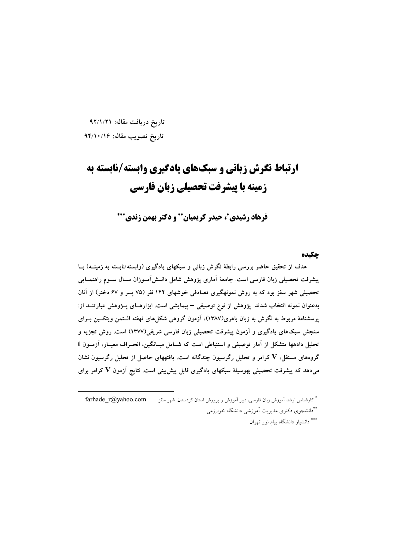تاریخ دریافت مقاله: ۹۲/۱/۲۱ تاريخ تصويب مقاله: ٩۴/١٠/١۶

## **ارتباط نگرش زبانی و سبکهای یادگیری وابسته/نابسته به زمینه یا پیشرفت تحصیلی زیان فارسی**

**فرهاد رشیدی ً، حیدر کریمیان \*\* و دکتر بهمن زندی \*\*\*** 

حكىدە

هدف از تحقیق حاضر بررسی رابطهٔ نگرش زبانی و سبکهای یادگیری (وابسته/نابسته به زمینــه) بــا پیشرفت تحصیلی زبان فارسی است. جامعهٔ آماری پژوهش شامل دانــشآمــوزان ســال ســوم راهنمــایی تحصیلی شهر سقز بود که به روش نمونهگیری تصادفی خوشهای ۱۴۲ نفر (۷۵ پسر و ۶۷ دختر) از آنان بهعنوان نمونه انتخاب شدند. پژوهش از نوع توصیفی – پیمایشی است. ابزارهــای پــژوهش عبارتنــد از: پرسشنامهٔ مربوط به نگرش به زبان باهری(۱۳۸۷)، آزمون گروهی شکلهای نهفته الــتمن ویتکــین بــرای سنجش سبکهای یادگیری و آزمون پیشرفت تحصیلی زبان فارسی شریفی(۱۳۷۷) است. روش تجزیه و تحلیل دادهها متشکل از آمار توصیفی و استنباطی است که شــامل میــانگین، انحــراف معیــار، آزمــون t گروههای مستقل، V کرامر و تحلیل رگرسیون چندگانه است. یافتههای حاصل از تحلیل رگرسیون نشان میدهد که پیشرفت تحصیلی بهوسیلهٔ سبکهای یادگیری قابل پیش بینی است. نتایج آزمون V کرامر برای

farhade  $r(a)$ yahoo.com \* کارشناس ارشد اَموزش زبان فارسی، دبیر اَموزش و یرورش استان کردستان، شهر سقز \*\*دانشجوی دکتری مدیریت آموزشی دانشگاه خوارزمی \*\*\* دانشیار دانشگاه پیام نور تهران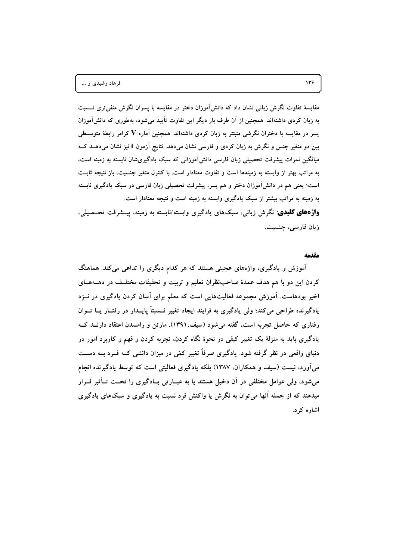مقایسهٔ تفاوت نگرش زبانی نشان داد که دانش آموزان دختر در مقایسه با پسران نگرش منفی تری نــسبت به زبان کردی داشتهاند. همچنین از آن طرف بار دیگر این تفاوت تأیید می شود، بهطوری که دانش آموزان یسر در مقایسه با دختران نگرشی مثبتتر به زبان کردی داشتهاند. همچنین آماره V کرامر رابطهٔ متوسـطی بین دو متغیر جنس و نگرش به زبان کردی و فارسی نشان میدهد. نتایج آزمون t نیز نشان میدهــد کــه میانگین نمرات پیشرفت تحصیلی زبان فارسی دانش آموزانی که سبک یادگیریشان نابسته به زمینه است، به مراتب بهتر از وابسته به زمینهها است و تفاوت معنادار است. با کنترل متغیر جنسیت، باز نتیجه ثابت است؛ یعنی هم در دانش آموزان دختر و هم پسر، پیشرفت تحصیلی زبان فارسی در سبک یادگیری نابسته به زمینه به مراتب بیشتر از سبک یادگیری وابسته به زمینه است و نتیجه معنادار است. **واژههای کلیدی**: نگرش زبانی، سبکهای یادگیری وابسته/نابسته به زمینه، پیــشرفت تحــصیلی، زبان فارسی، جنسیت.

## مقدمه

آموزش و یادگیری، واژههای عجینی هستند که هر کدام دیگری را تداعی می کند. هماهنگ کردن این دو با هم هدف عمدهٔ صاحبنظران تعلیم و تربیت و تحقیقات مختلـف در دهــههــای اخیر بودهاست. آموزش مجموعه فعالیتهایی است که معلم برای آسان کردن یادگیری در نــزد یادگیرنده طراحی می کند؛ ولی یادگیری به فرایند ایجاد تغییر نــسبتاً پایــدار در رفتــار پــا تــوان رفتاری که حاصل تجربه است، گفته می شود (سیف،۱۳۹۱). مارتن و رامسدن اعتقاد دارنــد کــه یادگیری باید به منزلهٔ یک تغییر کیفی در نحوهٔ نگاه کردن، تجربه کردن و فهم و کاربرد امور در دنیای واقعی در نظر گرفته شود. یادگیری صرفاً تغییر کمّی در میزان دانشی کــه فــرد بــه دســت می آورد، نیست (سیف و همکاران، ۱۳۸۷) بلکه یادگیری فعالیتی است که توسط یادگیرنده انجام می شود، ولی عوامل مختلفی در آن دخیل هستند یا به عبــارتی پــادگیری را تحــت تــأثیر قــرار میدهند که از جمله آنها می توان به نگرش یا واکنش فرد نسبت به یادگیری و سبکهای یادگیری اشاره کرد.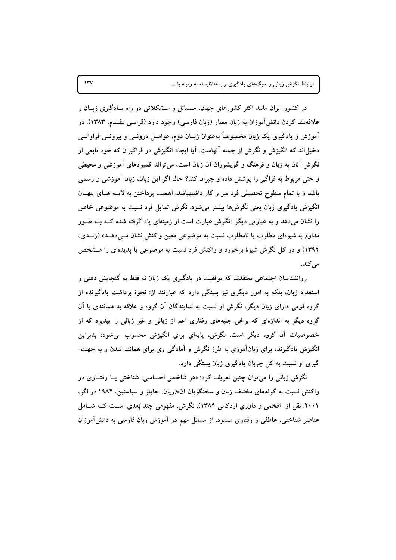در کشور ایران مانند اکثر کشورهای جهان، مـسائل و مـشکلاتی در راه یـادگیری زبـان و علاقهمند کردن دانش[موزان به زبان معیار (زبان فارسی) وجود دارد (قرائــی مقــدم، ۱۳۸۳). در آموزش و یادگیری یک زبان مخصوصاً بهعنوان زبــان دوم، عوامــل درونــی و بیرونــی فراوانــی دخیل!ند که انگیزش و نگرش از جمله آنهاست. آیا ایجاد انگیزش در فراگیران که خود تابعی از نگرش آنان به زبان و فرهنگ و گویشوران آن زبان است، می تواند کمبودهای آموزشی و محیطی و حتى مربوط به فراگير را پوشش داده و جبران كند؟ حال اگر اين زبان، زبان آموزشي و رسمي باشد و با تمام سطوح تحصیلی فرد سر و کار داشتهباشد. اهمیت پرداختن به لایــه هــای پنهــان انگیزش یادگیری زبان یعنی نگرشها بیشتر می شود. نگرش تمایل فرد نسبت به موضوعی خاص را نشان میدهد و به عبارتی دیگر «نگرش عبارت است از زمینهای یاد گرفته شده کــه بــه طــور مداوم به شیوهای مطلوب یا نامطلوب نسبت به موضوعی معین واکنش نشان مــیدهــد» (زنــدی. ۱۳۹۲) و در کل نگرش شیوهٔ برخورد و واکنش فرد نسبت به موضوعی یا پدیدهای را مــشخص مے کند.

روانشناسان اجتماعی معتقدند که موفقیت در یادگیری یک زبان نه فقط به گنجایش ذهنی و استعداد زبان. بلکه به امور دیگری نیز بستگی دارد که عبارتند از: نحوهٔ برداشت یادگیرنده از گروه قومی دارای زبان دیگر، نگرش او نسبت به نمایندگان آن گروه و علاقه به همانندی با آن گروه دیگر به اندازهای که برخی جنبههای رفتاری اعم از زبانی و غیر زبانی را بپذیرد که از خصوصیات آن گروه دیگر است. نگرش، پایهای برای انگیزش محسوب میشود؛ بنابراین انگیزش یادگیرنده برای زبانآموزی به طرز نگرش و آمادگی وی برای همانند شدن و به جهت-گیری او نسبت به کل جریان یادگیری زبان بستگی دارد.

نگرش زبانی را می توان چنین تعریف کرد: «هر شاخص احساسی، شناختی پـا رفتــاری در واکنش نسبت به گونههای مختلف زبان و سخنگویان آن»(ریان، جایلز و سباستین، ۱۹۸۲ در اگر، ۲۰۰۱: نقل از افخمی و داوری اردکانی ۱۳۸۴). نگرش، مفهومی چند بُعدی اسـت کــه شــامل عناصر شناختی، عاطفی و رفتاری میشود. از مسائل مهم در آموزش زبان فارسی به دانش[موزان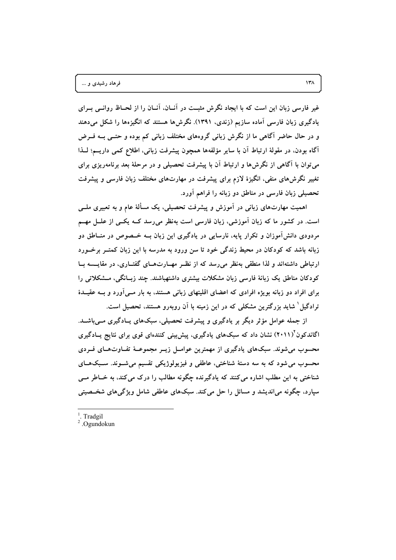غیر فارسی زبان این است که با ایجاد نگرش مثبت در آنــان، آنــان را از لحــاظ روانــی بــرای یادگیری زبان فارسی آماده سازیم (زندی، ۱۳۹۱). نگرشها هستند که انگیزهها را شکل میدهند و در حال حاضر آگاهی ما از نگرش زبانی گروههای مختلف زبانی کم بوده و حتــی بــه فــرض آگاه بودن، در مقولهٔ ارتباط آن با سایر مؤلفهها همچون پیشرفت زبانی، اطلاع کمی داریـم؛ لـذا می توان با آگاهی از نگرشها و ارتباط آن با پیشرفت تحصیلی و در مرحلهٔ بعد برنامهریزی برای تغییر نگرشهای منفی، انگیزهٔ لازم برای پیشرفت در مهارتهای مختلف زبان فارسی و پیشرفت تحصیلی زبان فارسی در مناطق دو زبانه را فراهم آورد.

اهمیت مهارتهای زبانی در آموزش و پیشرفت تحصیلی، یک مسألهٔ عام و به تعبیری ملــی است. در کشور ما که زبان آموزشی، زبان فارسی است بهنظر میرسد کــه یکــی از علــل مهــم مردودی دانشآموزان و تکرار پایه، نارسایی در یادگیری این زبان بــه خــصوص در منــاطق دو زبانه باشد که کودکان در محیط زندگی خود تا سن ورود به مدرسه با این زبان کمتــر برخــورد ارتباطی داشتهاند و لذا منطقی بهنظر می رسد که از نظـر مهــارتهــای گفتــاری، در مقایــسه بــا کودکان مناطق یک زبانهٔ فارسی زبان مشکلات بیشتری داشتهباشند. چند زبـانگی، مــشکلاتی را برای افراد دو زبانه بویژه افرادی که اعضای اقلیتهای زبانی هستند، به بار مـیآورد و بــه عقیــدهٔ ترادگیل<sup>۱</sup> شاید بزرگترین مشکلی که در این زمینه با آن روبهرو هستند، تحصیل است.

از جمله عوامل مؤثر دیگر بر یادگیری و پیشرفت تحصیلی، سبکهای پـادگیری مـیباشــد. اگاندکون ٔ(۲۰۱۱) نشان داد که سبکهای یادگیری، پیشبینی کنندهای قوی برای نتایج پــادگیری محسوب می شوند. سبکهای یادگیری از مهمترین عوامـل زیـر مجموعـهٔ تفـاوتهـای فـردی محسوب مي شود كه به سه دستهٔ شناختي، عاطفي و فيزيولوژيكي تقسيم مي شـوند. سـبکهـاي شناختی به این مطلب اشاره می کنند که یادگیرنده چگونه مطالب را درک می کند، به خــاطر مــی سیارد، جگونه می اندیشد و مسائل را حل می کند. سبکهای عاطفی شامل ویژگیهای شخــصیتی

. Tradgil

 $2$ . Ogundokun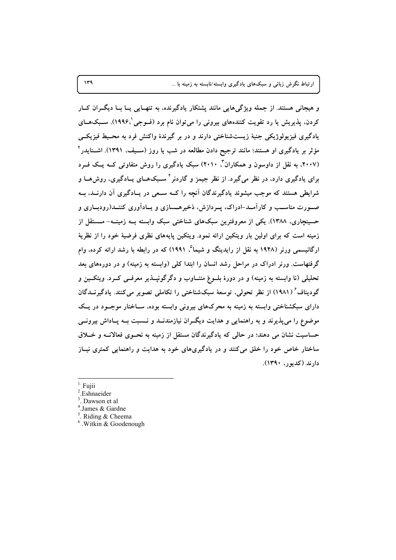و هیجانی هستند. از جمله ویژگی هایی مانند پشتکار یادگیرنده، به تنهــایی پــا بــا دیگــران کــار کردن، پذیریش یا رد تقویت کنندههای بیرونی را میتوان نام برد (فسوجی'۱۹۹۶). سـبکهــای یادگیری فیزیولوژیکی جنبهٔ زیستشناختی دارند و در بر گیرندهٔ واکنش فرد به محــیط فیزیکــی مؤثر بر یادگیری او هستند؛ مانند ترجیح دادن مطالعه در شب یا روز (ســیف، ۱۳۹۱). اشــنایدر<sup>۲</sup> (۲۰۰۷، به نقل از داوسون و همکاران"، ۲۰۱۰) سبک یادگیری را روش متفاوتی کــه یــک فــرد برای یادگیری دارد، در نظر میگیرد. از نظر جیمز و گاردنر ٔ سـبکهـای یــادگیری، روش هــا و شرایطی هستند که موجب میشوند یادگیرندگان آنچه را کــه ســعی در پــادگیری آن دارنــد، بــه صورت مناسب و کارآمـد-ادراک، پـردازش، ذخیرهـسازی و پـادآوری کننـد(رودبـاری و حسینچاری، ۱۳۸۸). یکی از معروفترین سبکهای شناختی سبک وابسته بــه زمینــه- مــستقل از زمینه است که برای اولین بار ویتکین ارائه نمود. ویتکین پایههای نظری فرضیهٔ خود را از نظریهٔ ارگانیسمی ورنر (۱۹۴۸ به نقل از رایدینگ و شیما<sup>۵</sup>، ۱۹۹۱) که در رابطه با رشد ارائه کرده، وام گرفتهاست. ورنر ادراک در مراحل رشد انسان را ابتدا کلی (وابسته به زمینه) و در دورههای بعد تحلیلی (نا وابسته به زمینه) و در دورهٔ بلــوغ متنــاوب و دگرگونیـــذیر معرفـــی کــرد. ویتکـــین و گودیناف ٔ (۱۹۸۱) از نظر تحولی، توسعهٔ سبکشناختی را تکاملی تصویر می کنند. یادگیرنــدگان دارای سبکشناختی وابسته به زمینه به محرکهای بیرونی وابسته بوده، ســاختار موجــود در یــک موضوع را می پذیرند و به راهنمایی و هدایت دیگـران نیازمندنــد و نــسبت بــه پــاداش بیرونــی حساسیت نشان می دهند؛ در حالی که یادگیرندگان مستقل از زمینه به نحــوی فعالانــه و خـــلاق ساختار خاص خود را خلق می کنند و در یادگیریهای خود به هدایت و راهنمایی کمتری نیــاز دارند (کدیور، ۱۳۹۰).

- . Dawson et al
- <sup>4</sup>.James & Gardne
- Riding & Cheema
- $6$ . Witkin & Goodenough

Fuiii

 $2.$ Eshnaeider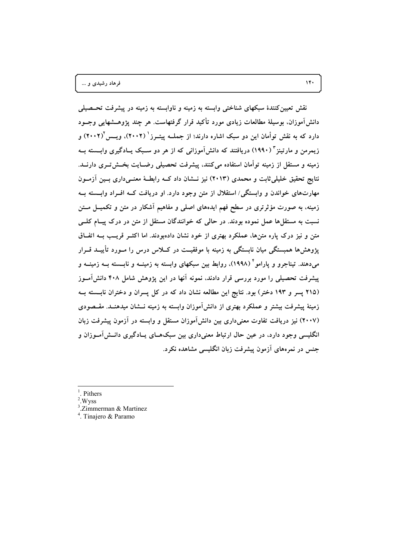نقش تعیین کنندهٔ سبکهای شناختی وابسته به زمینه و ناوابسته به زمینه در پیشرفت تحــصیلی دانش آموزان، بوسیلهٔ مطالعات زیادی مورد تأکید قرار گرفتهاست. هر چند پژوهــشهایی وجــود دارد که به نقش توأمان این دو سبک اشاره دارند؛ از جملــه پیتــرز' (۲۰۰۲)، ویــس'(۲۰۰۲) و زیمرمن و مارتینز " (۱۹۹۰) دریافتند که دانش[موزانی که از هر دو سـبک پــادگیری وابـــسته بــه زمینه و مستقل از زمینه توأمان استفاده می کنند، پیشرفت تحصیلی رضـایت بخــش تــری دارنــد. نتایج تحقیق خلیلی ثابت و محمدی (۲۰۱۳) نیز نـــشان داد کـــه رابطـــهٔ معنـــی داری بــین آزمــون مهارتهای خواندن و وابستگی/ استقلال از متن وجود دارد. او دریافت کــه افــراد وابـــسته بــه زمینه، به صورت مؤثرتری در سطح فهم ایدههای اصلی و مفاهیم آشکار در متن و تکمیــل مــتن نسبت به مستقلها عمل نموده بودند. در حالی که خوانندگان مستقل از متن در درک پیـام کلــی متن و نیز درک پاره متنها، عملکرد بهتری از خود نشان دادهبودند. اما اکثــر قریــب بــه اتفــاق پژوهشها همبستگی میان نابستگی به زمینه با موفقیــت در کــلاس درس را مــورد تأییــد قــرار میدهند. تیناجرو و یارامو<sup>۲</sup> (۱۹۹۸)، روابط بین سبکهای وابسته به زمینــه و نابـــسته بــه زمینــه و پیشرفت تحصیلی را مورد بررسی قرار دادند، نمونه آنها در این پژوهش شامل ۴۰۸ دانشآموز (۲۱۵ پسر و ۱۹۳ دختر) بود. نتایج این مطالعه نشان داد که در کل پسران و دختران نابسته بـه زمینهٔ پیشرفت بیشتر و عملکرد بهتری از دانش[موزان وابسته به زمینه نــشان میدهنــد. مقــصودی (۲۰۰۷) نیز دریافت تفاوت معنی داری بین دانش آموزان مستقل و وابسته در آزمون پیشرفت زبان انگلیسی وجود دارد، در عین حال ارتباط معنیداری بین سبکهـای پــادگیری دانــش[مــوزان و جنس در نمرههای آزمون پیشرفت زبان انگلیسی مشاهده نکرد.

- Pithers
- $2. Wyss$
- $3$ .Zimmerman & Martinez
- <sup>4</sup>. Tinajero & Paramo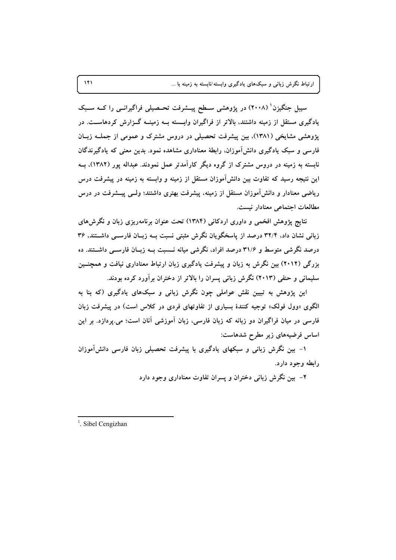سیبل جنگیزن' (۲۰۰۸) در پژوهشی سـطح پیــشرفت تحـصیلی فراگیرانــی را کــه ســبک یادگیری مستقل از زمینه داشتند، بالاتر از فراگیران وابسته بـه زمینــه گــزارش کردهاســت. در پژوهشی مشایخی (۱۳۸۱)، بین پیشرفت تحصیلی در دروس مشترک و عمومی از جملـه زبـان فارسی و سبک یادگیری دانش آموزان. رابطهٔ معناداری مشاهده نمود. بدین معنی که یادگیرندگان نابسته به زمینه در دروس مشترک از گروه دیگر کارآمدتر عمل نمودند. عبداله پور (۱۳۸۲)، بــه این نتیجه رسید که تفاوت بین دانش آموزان مستقل از زمینه و وابسته به زمینه در پیشرفت درس ریاضی معنادار و دانش آموزان مستقل از زمینه، پیشرفت بهتری داشتند؛ ولـبی پیــشرفت در درس مطالعات اجتماعی معنادار نیست.

نتایج پژوهش افخمی و داوری اردکانی (۱۳۸۴) تحت عنوان برنامهریزی زبان و نگرش۵ای زبانی نشان داد، ۳۲/۴ درصد از پاسخگویان نگرش مثبتی نسبت بـه زبـان فارســی داشــتند، ۳۶ درصد نگرشی متوسط و ۳۱/۶ درصد افراد، نگرشی میانه نـسبت بــه زبــان فارســی داشــتند. ده بزرگی (۲۰۱۲) بین نگرش به زبان و پیشرفت یادگیری زبان ارتباط معناداری نیافت و همچنــین سلیمانی و حنفی (۲۰۱۳) نگرش زبانی پسران را بالاتر از دختران برآورد کرده بودند.

این پژوهش به تبیین نقش عواملی چون نگرش زبانی و سبکهای یادگیری (که بنا به الگوی «وول فولک» توجیه کنندهٔ بسیاری از تفاوتهای فردی در کلاس است) در پیشرفت زبان فارسی در میان فراگیران دو زبانه که زبان فارسی، زبان آموزشی آنان است؛ می پردازد. بر این اساس فرضیههای زیر مطرح شدهاست:

۱- بین نگرش زبانی و سبکهای یادگیری با پیشرفت تحصیلی زبان فارسی دانش آموزان رابطه وجود دارد.

۲- بین نگرش زبانی دختران و پسران تفاوت معناداری وجود دارد

<sup>&</sup>lt;sup>1</sup>. Sibel Cengizhan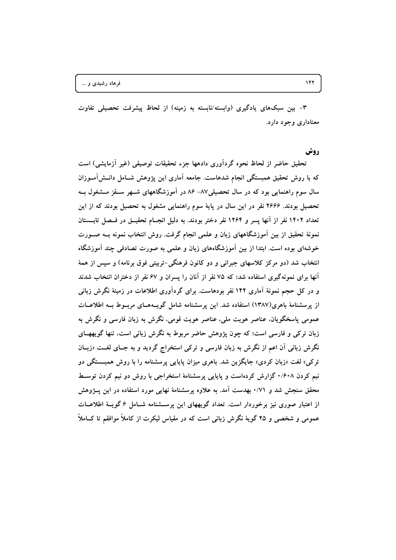۳- بین سبکهای یادگیری (وابسته/نابسته به زمینه) از لحاظ پیشرفت تحصیلی تفاوت معناداري وجود دارد.

روش

تحقیق حاضر از لحاظ نحوه گردآوری دادهها جزء تحقیقات توصیفی (غیر آزمایشی) است که با روش تحقیق همبستگی انجام شدهاست. جامعه آماری این پژوهش شــامل دانــش[مــوزان سال سوم راهنمایی بود که در سال تحصیلی۸۷– ۸۶ در آموزشگاههای شــهر ســقز مــشغول بــه تحصیل بودند. ۲۶۶۶ نفر در این سال در پایهٔ سوم راهنمایی مشغول به تحصیل بودند که از این تعداد ۱۴۰۲ نفر از آنها پسر و ۱۲۶۴ نفر دختر بودند. به دلیل انجــام تحقیــق در فــصل تابـــستان نمونهٔ تحقیق از بین اَموزشگاههای زبان و علمی انجام گرفت. روش انتخاب نمونه بــه صــورت خوشهای بوده است. ابتدا از بین آموزشگاههای زبان و علمی به صورت تصادفی چند آموزشگاه انتخاب شد (دو مرکز کلاسهای جبرانی و دو کانون فرهنگی-تربیتی فوق برنامه) و سپس از همهٔ آنها برای نمونهگیری استفاده شد؛ که ۷۵ نفر از آنان را پسران و ۶۷ نفر از دختران انتخاب شدند و در کل حجم نمونهٔ آماری ۱۴۲ نفر بودهاست. برای گردآوری اطلاعات در زمینهٔ نگرش زبانی از پرسشنامهٔ باهری(۱۳۸۷) استفاده شد. این پرسشنامه شامل گویــههــای مربــوط بــه اطلاعــات عمومي ياسخگويان. عناصر هويت ملي، عناصر هويت قومي، نگرش به زبان فارسي و نگرش به زبان ترکی و فارسی است؛ که چون پژوهش حاضر مربوط به نگرش زبانی است، تنها گویههــای نگرش زبانی آن اعم از نگرش به زبان فارسی و ترکی استخراج گردید و به جـای لغــت «زبــان ترکی» لغت «زبان کردی» جایگزین شد. باهری میزان پایایی پرسشنامه را با روش همبــستگی دو نیم کردن ۰/۶۰۸ گزارش کردهاست و پایایی پرسشنامهٔ استخراجی با روش دو نیم کردن توسط محقق سنجش شد و ۰/۷۱ بهدست آمد. به علاوه پرسشنامهٔ نهایی مورد استفاده در این پــژوهش از اعتبار صوری نیز برخوردار است. تعداد گویههای این پرســشنامه شــامل ۶ گویــهٔ اطلاعــات عمومی و شخصی و ۲۵ گویهٔ نگرش زبانی است که در مقیاس لیکرت از کاملاً موافقم تا کــاملاً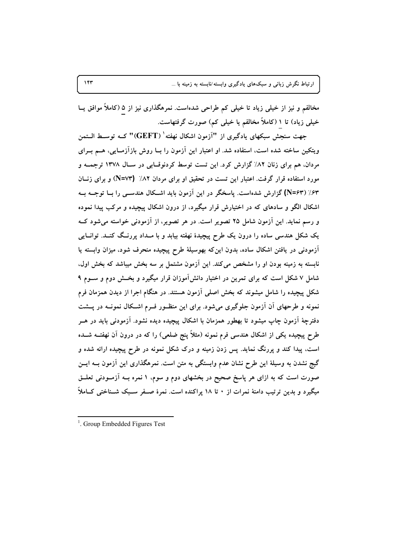مخالفم و نیز از خیلی زیاد تا خیلی کم طراحی شدهاست. نمرهگذاری نیز از ۵ (کاملاً موافق یــا خیلی زیاد) تا ۱ (کاملاً مخالفم یا خیلی کم) صورت گرفتهاست.

جهت سنجش سبكهاي يادگيري از "آزمون اشكال نهفته' (GEFT)" كــه توســط الــتمن ویتکین ساخته شده است، استفاده شد. او اعتبار این آزمون را بــا روش بازآزمــایی، هــم بــرای مردان، هم برای زنان ۸۲٪ گزارش کرد. این تست توسط کردنوقایی در سـال ۱۳۷۸ ترجمـه و مورد استفاده قرار گرفت. اعتبار این تست در تحقیق او برای مردان ۸۲/ (N=۷۳) و برای زنبان ۶۳٪ (N=۶۳) گزارش شدهاست. پاسخگر در این آزمون باید اشـکال هندســی را بــا توجــه بــه اشکال الگو و سادهای که در اختیارش قرار میگیرد، از درون اشکال پیچیده و مرکب پیدا نموده و رسم نماید. این آزمون شامل ۲۵ تصویر است. در هر تصویر، از آزمودنی خواسته میشود کـه یک شکل هندسی ساده را درون یک طرح پیچیدهٔ نهفته بیابد و با مــداد پررنــگ کنــد. توانــایی آزمودنی در یافتن اشکال ساده، بدون اینکه بهوسیلهٔ طرح پیچیده منحرف شود، میزان وابسته یا نابسته به زمینه بودن او را مشخص می کند. این آزمون مشتمل بر سه بخش میباشد که بخش اول. شامل ۷ شکل است که برای تمرین در اختیار دانشآموزان قرار میگیرد و بخـش دوم و ســوم ۹ شکل پیچیده را شامل میشوند که بخش اصلی آزمون هستند. در هنگام اجرا از دیدن همزمان فرم نمونه و طرحهای آن آزمون جلوگیری میشود. برای این منظـور فـرم اشـکال نمونــه در پــشت دفترچهٔ اَزمون چاپ میشود تا بهطور همزمان با اشکال پیچیده دیده نشود. اَزمودنی باید در هــر طرح پیچیده یکی از اشکال هندسی فرم نمونه (مثلاً پنج ضلعی) را که در درون آن نهفتــه شــده است، پیدا کند و پررنگ نماید. پس زدن زمینه و درک شکل نمونه در طرح پیچیده ارائه شده و گیج نشدن به وسیلهٔ این طرح نشان عدم وابستگی به متن است. نمرهگذاری این آزمون بــه ایــن صورت است که به ازای هر پاسخ صحیح در بخشهای دوم و سوم، ۱ نمره بــه آزمــودنی تعلــق میگیرد و بدین ترتیب دامنهٔ نمرات از ۰ تا ۱۸ پراکنده است. نمرهٔ صـفر سـبک شـناختی کــاملاً

<sup>&</sup>lt;sup>1</sup>. Group Embedded Figures Test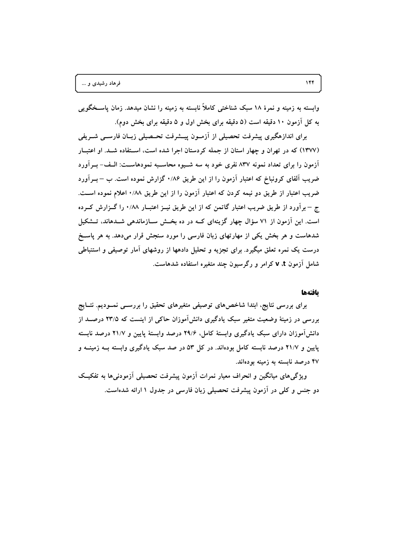وابسته به زمینه و نمرهٔ ۱۸ سبک شناختبی کاملاً نابسته به زمینه را نشان میدهد. زمان پاسـخگویبی به کل آزمون ۱۰ دقیقه است (۵ دقیقه برای بخش اول و ۵ دقیقه برای بخش دوم).

برای اندازهگیری پیشرفت تحصیلی از آزمـون پیــشرفت تحــصیلی زبــان فارســی شــریفی (۱۳۷۷) که در تهران و چهار استان از جمله کردستان اجرا شده است، استفاده شد. او اعتبار آزمون را برای تعداد نمونه ۸۳۷ نفری خود به سه شـیوه محاسـبه نمودهاســت: الـف- بــرآورد ضریب آلفای کرونباخ که اعتبار آزمون را از این طریق ۱/۸۶ گزارش نموده است. ب – بــر آورد ضریب اعتبار از طریق دو نیمه کردن که اعتبار آزمون را از این طریق ۰/۸۸ اعلام نموده است. ج – برآورد از طریق ضریب اعتبار گاتمن که از این طریق نیــز اعتبــار ۰/۸۸ را گــزارش کــرده است. این اَزمون از ۷۱ سؤال چهار گزینهای کــه در ده بخــش ســازماندهی شــدهاند، تــشکیل شدهاست و هر بخش یکی از مهارتهای زبان فارسی را مورد سنجش قرار میدهد. به هر پاسخ درست یک نمره تعلق میگیرد. برای تجزیه و تحلیل دادهها از روشهای آمار توصیفی و استنباطی شامل آزمون v ،t کرامر و رگرسیون چند متغیره استفاده شدهاست.

بافتهها

برای بررسی نتایج، ابتدا شاخصهای توصیفی متغیرهای تحقیق را بررســی نمــودیم. نتــایج بررسی در زمینهٔ وضعیت متغیر سبک یادگیری دانش[موزان حاکی از اینست که ۲۳/۵ درصــد از دانش آموزان دارای سبک یادگیری وابستهٔ کامل، ۲۹/۶ درصد وابستهٔ پایین و ۲۱/۷ درصد نابسته پایین و ۲۱/۷ درصد نابسته کامل بودهاند. در کل ۵۳ در صد سبک یادگیری وابسته بـه زمینــه و ۴۷ درصد نابسته به زمینه بودهاند.

ویژگیهای میانگین و انحراف معیار نمرات آزمون پیشرفت تحصیلی آزمودنیها به تفکیک دو جنس و کلّی در آزمون پیشرفت تحصیلی زبان فارسی در جدول ۱ ارائه شدهاست.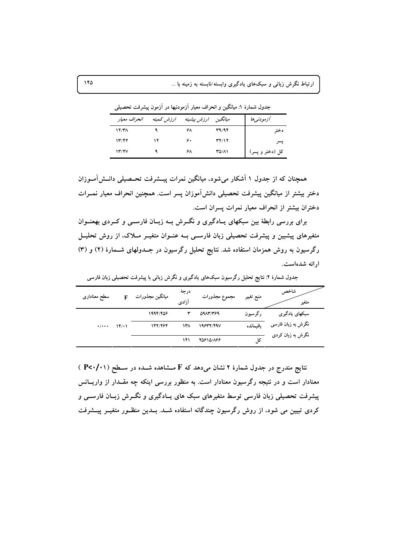| انحراف معيار      | ارزش كمينه | ارزش بيشينه | ميانگين      | ا زمودنبي ها    |
|-------------------|------------|-------------|--------------|-----------------|
| 17/T <sub>A</sub> |            | ۶۸          | 49/94        |                 |
| 13/47             | ۱۲         | ۶.          | <b>٣٢/١٢</b> | پسر             |
| 13/47             |            | ۶۸          | <b>۳۵/۸۱</b> | کل (دختر و پسر) |

جدول شمارهٔ ۱: میانگین و انحراف معیار آزمودنیها در آزمون پیشرفت تحصیلی

همچنان که از جدول ۱ آشکار می شود، میانگین نمرات پیسشرفت تحــصیلی دانــش آمــوزان دختر بیشتر از میانگین پیشرفت تحصیلی دانش[موزان پسر است. همچنین انحراف معیار نمــرات دختران بیشتر از انحراف معیار نمرات پسران است.

برای بررسی رابطهٔ بین سبکهای پـادگیری و نگـرش بـه زبـان فارســی و کــردی بهعنــوان متغیرهای پیشبین و پیشرفت تحصیلی زبان فارسـی بــه عنــوان متغیــر مــلاک، از روش تحلیــل رگرسیون به روش همزمان استفاده شد. نتایج تحلیل رگرسیون در جــدولهای شــمارهٔ (۲) و (۳) ارائه شدهاست.

| سطح معنادارى              | F     | ميانگين مجذورات | درجة<br>آزادى | مجموع مجذورات | منبع تغيير | شاخص<br>متغير      |
|---------------------------|-------|-----------------|---------------|---------------|------------|--------------------|
|                           |       | 1994/408        | ٣             | 091171799     | رگرسيون    | سبكهاى يادگيرى     |
| $\cdot$ / $\cdot$ $\cdot$ | 15/11 | 147/764         | ۱۳۸           | 19637/497     | باقيمانده  | نگرش به زبان فارسی |
|                           |       |                 | ۱۴۱           | 70810/188     |            | نگرش به زبان کردی  |

جدول شمارهٔ ۲: نتایج تحلیل رگرسیون سبکهای یادگیری و نگرش زبانی با پیشرفت تحصیلی زبان فارسی

نتایج مندرج در جدول شمارهٔ ۲ نشان میدهد که F مــشاهده شــده در ســطح ( P<۰/۰۱ ) معنادار است و در نتیجه رگرسیون معنادار است. به منظور بررسی اینکه چه مقــدار از واریــانس پیشرفت تحصیلی زبان فارسی توسط متغیرهای سبک های پــادگیری و نگــرش زبــان فارســی و کردی تبیین می شود، از روش رگرسیون چندگانه استفاده شـد. بــدین منظــور متغیــر پیــشرفت

 $140$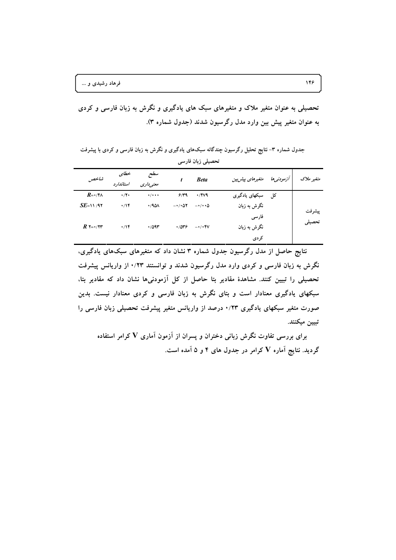تحصیلی به عنوان متغیر ملاک و متغیرهای سبک های یادگیری و نگرش به زبان فارسی و کردی به عنوان متغیر پیش بین وارد مدل رگرسیون شدند (جدول شماره ۳).

جدول شماره ۳– نتایج تحلیل رگرسیون چندگانه سبکهای یادگیری و نگرش به زبان فارسی و کردی با پیشرفت تحصیلی زبان فارسی

| شاخص                            | خطاي<br>استاندار د | سطح<br>معنبي داري | t       | <b>Beta</b>               | آزمودنی ها متغیرهای پیش بین |    | متغیر ملاک |
|---------------------------------|--------------------|-------------------|---------|---------------------------|-----------------------------|----|------------|
| $R = \cdot$ / $\uparrow \wedge$ | $\cdot$ /۲ $\cdot$ | $\cdot$ /+++      | 9/49    | $\cdot$ /۴۷۹              | سبکهای یادگیری              | کل |            |
| $SE=11/97$                      | $\cdot$ /14        | $.40\lambda$      | $-1/20$ | $-\cdot/\cdot\cdot\Delta$ | نگرش به زبان                |    |            |
|                                 |                    |                   |         |                           | فارسى                       |    | يبشرفت     |
| $R \sim \cdot$                  | $\cdot$ /14        | $\cdot$ /09٣      | .7049   | $-*/*Y$                   | نگرش به زبان                |    | تحصيلى     |
|                                 |                    |                   |         |                           | کردی                        |    |            |

نتایج حاصل از مدل رگرسیون جدول شماره ۳ نشان داد که متغیرهای سبکهای یادگیری، نگرش به زبان فارسی و کردی وارد مدل رگرسیون شدند و توانستند ۰/۲۳ از واریانس پیشرفت تحصیلی را تبیین کنند. مشاهدهٔ مقادیر بتا حاصل از کل آزمودنیها نشان داد که مقادیر بتا، سبکهای یادگیری معنادار است و بتای نگرش به زبان فارسی و کردی معنادار نیست. بدین صورت متغیر سبکهای یادگیری ۰/۲۳ درصد از واریانس متغیر پیشرفت تحصیلی زبان فارسی را تبيين ميكنند.

برای بررسی تفاوت نگرش زبانی دختران و پسران از آزمون آماری  ${\bf V}$  کرامر استفاده گردید. نتایج آماره V کرامر در جدول های ۴ و ۵ آمده است.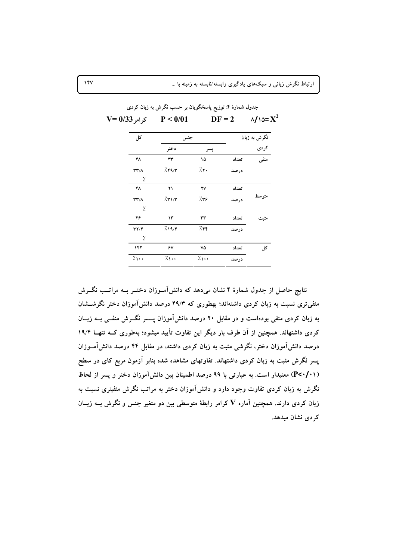$DF = 2$   $\Delta/\Delta = X^2$ 

| کل                                      |         | جنس  |       | نگرش به زبان |  |  |
|-----------------------------------------|---------|------|-------|--------------|--|--|
|                                         | دختر    | پسر  |       | كردى         |  |  |
| ۴۸                                      | ٣٣      | ۱۵   | تعداد | منفى         |  |  |
| $\mathbf{r}\mathbf{r}$ / $\wedge$<br>γ. | 7.89/5  | 7.7. | درصد  |              |  |  |
| ۴۸                                      | ۲۱      | ۲٧   | تعداد |              |  |  |
| $\mathbf{r}\mathbf{r}$ / $\wedge$<br>٪  | 7.51/T  | ۶۳۶. | درصد  | متو سط       |  |  |
| ۴۶                                      | ۱۳      | ٣٣   | تعداد | مثبت         |  |  |
| YY/F<br>γ.                              | 7.19/5  | ۶۴٪  | درصد  |              |  |  |
| ۱۴۲                                     | ۶V      | ٧۵   | تعداد | کل           |  |  |
| $\gamma$ .                              | $7.1$ . | 7.1. | درصد  |              |  |  |

جدول شمارهٔ ۴: توزیع پاسخگویان بر حسب نگرش به زبان کردی

 $V = 0/33$   $\leq$  P < 0/01

نتایج حاصل از جدول شمارهٔ ۴ نشان میدهد که دانش[مـوزان دختـر بــه مراتـب نگــرش منفیتری نسبت به زبان کردی داشتهاند؛ بهطوری که ۴۹/۳ درصد دانشآموزان دختر نگرشـــشان به زبان کردی منفی بودهاست و در مقابل ۲۰ درصد دانشآموزان پــسر نگــرش منفــی بــه زبــان کردی داشتهاند. همچنین از آن طرف بار دیگر این تفاوت تأیید میشود؛ بهطوری کــه تنهــا ۱۹/۴ درصد دانش[موزان دختر، نگرشی مثبت به زبان کردی داشته، در مقابل ۴۴ درصد دانشآمــوزان پسر نگرش مثبت به زبان کردی داشتهاند. تفاوتهای مشاهده شده بنابر آزمون مربع کای در سطح (P<۰/۰۱) معنیدار است. به عبارتی با ۹۹ درصد اطمینان بین دانشآموزان دختر و پسر از لحاظ نگرش به زبان کردی تفاوت وجود دارد و دانش آموزان دختر به مراتب نگرش منفیتری نسبت به زبان کردی دارند. همچنین آماره V کرامر رابطهٔ متوسطی بین دو متغیر جنس و نگرش بــه زبــان کر دی نشان میدهد.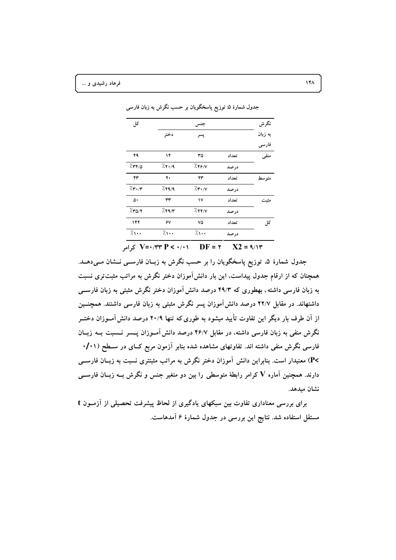| کل                    |                       | جنس            |       | نگرش    |
|-----------------------|-----------------------|----------------|-------|---------|
|                       | دختر                  | پسر            |       | به زبان |
|                       |                       |                |       | فارسى   |
| ۴۹                    | ۱۴                    | ٣۵             | تعداد | منفى    |
| 7.77/0                | 7.7.79                | $\lambda$ ۴۶/۷ | درصد  |         |
| ۴۳                    | ۲٠                    | ۲۳             | تعداد | متوسط   |
| 7.5.7                 | 7.89/9                | $\lambda$ ۳۰/۷ | درصد  |         |
| ۵۰                    | ٣٣                    | ١٧             | تعداد | مثبت    |
| 7.70/7                | 7.89/T                | 7.77/          | درصد  |         |
| ۱۴۲                   | ۶v                    | ٧۵             | تعداد | کل      |
| $\lambda \cdot \cdot$ | $\lambda \cdot \cdot$ | 7.1.           | درصد  |         |
| $ -$                  | $\sim$                | $\sim$ $\sim$  | $-1$  |         |

جدول شمارهٔ ۵ توزیع پاسخگویان بر حسب نگرش به زبان فارسی

 $V = \sqrt{r}r \cdot P$  <  $\sqrt{r}$  DF =  $\gamma$  X2 = 9/1۳

جدول شمارهٔ ۵، توزیع پاسخگویان را بر حسب نگرش به زبـان فارســی نــشان مــیدهــد. همچنان که از ارقام جدول پیداست، این بار دانش[موزان دختر نگرش به مراتب مثبتتری نسبت به زبان فارسی داشته، بهطوری که ۴۹/۳ درصد دانش آموزان دختر نگرش مثبتی به زبان فارســی داشتهاند. در مقابل ۲۲/۷ درصد دانشآموزان پسر نگرش مثبتی به زبان فارسی داشتند. همچنــین از آن طرف بار دیگر این تفاوت تأیید میشود به طوری که تنها ۲۰/۹ درصد دانش آمــوزان دختــر نگرش منفی به زبان فارسی داشته، در مقابل ۴۶/۷ درصد دانش آمـوزان پــسر نــسبت بــه زبــان فارسی نگرش منفی داشته اند. تفاوتهای مشاهده شده بنابر آزمون مربع کـای در سـطح (۰/۰۱ P<) معنیدار است. بنابراین دانش آموزان دختر نگرش به مراتب مثبتتری نسبت به زبــان فارســی دارند. همچنین آماره V کرامر رابطهٔ متوسطی را بین دو متغیر جنس و نگرش بــه زبــان فارســی نشان ميدهد.

برای بررسی معناداری تفاوت بین سبکهای یادگیری از لحاظ پیشرفت تحصیلی از آزمـون t مستقل استفاده شد. نتایج این بررسی در جدول شمارهٔ ۶ آمدهاست.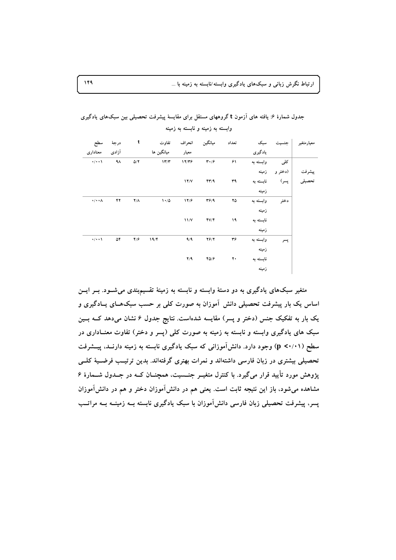| سطح                       | درجة  | t                           | تفاوت      | انحراف | ميانگين                       | تعداد | سبک       |         |        |
|---------------------------|-------|-----------------------------|------------|--------|-------------------------------|-------|-----------|---------|--------|
| معناداري                  | آزادی |                             | ميانگين ها | معيار  |                               |       | يادگيري   |         |        |
| $\cdot$ / $\cdot$         | ۹۸    | $\Delta/\Upsilon$           | 117/7      | 17/T9  | $\mathbf{r} \cdot \mathbf{r}$ | ۶١    | وابسته به | کلی     |        |
|                           |       |                             |            |        |                               |       | زمينه     | (دختر و | پيشرفت |
|                           |       |                             |            | 17/V   | YY/9                          | ٣٩    | نابسته به | پسر)    | تحصيلى |
|                           |       |                             |            |        |                               |       | زمينه     |         |        |
| $\cdot/\cdot\cdot\Lambda$ | ۴۲    | $Y/\Lambda$                 | 1.70       | 17/9   | $\mathbf{r}$ $\mathbf{r}$ /9  | ۲۵    | وابسته به | دختر    |        |
|                           |       |                             |            |        |                               |       | زمينه     |         |        |
|                           |       |                             |            | 11/Y   | fV/F                          | ۱۹    | نابسته به |         |        |
|                           |       |                             |            |        |                               |       | زمينه     |         |        |
| $\cdot/\cdot\cdot$        | ۵۴    | $\mathfrak{r}/\mathfrak{r}$ | 19/        | 9/9    | Yf/Y                          | ٣۶    | وابسته به | پسر     |        |
|                           |       |                             |            |        |                               |       | زمينه     |         |        |
|                           |       |                             |            | Y/9    | $40/5$                        | ۲۰    | نابسته به |         |        |
|                           |       |                             |            |        |                               |       | زمينه     |         |        |

جدول شمارهٔ ۶: یافته های آزمون t گروههای مستقل برای مقایسهٔ پیشرفت تحصیلی بین سبکهای یادگیری وابسته به زمینه و نابسته به زمینه

متغیر سبکهای یادگیری به دو دستهٔ وابسته و نابسته به زمینهٔ تقسیمبندی میشود. بـر ایــن اساس یک بار پیشرفت تحصیلی دانش آموزان به صورت کلی بر حسب سبکهـای پـادگیری و یک بار به تفکیک جنس (دختر و پسر) مقایسه شدهاست. نتایج جدول ۶ نشان میدهد کــه بــین سبک های یادگیری وابسته و نابسته به زمینه به صورت کلی (پسر و دختر) تفاوت معنــاداری در سطح (p <۰/۰۱) وجود دارد. دانش آموزانی که سبک یادگیری نابسته به زمینه دارنـد، پیــشرفت تحصیلی بیشتری در زبان فارسی داشتهاند و نمرات بهتری گرفتهاند. بدین ترتیب فرضـیهٔ کلــی پژوهش مورد تأیید قرار میگیرد. با کنترل متغیــر جنــسیت، همچنــان کــه در جــدول شـــمارهٔ ۶ مشاهده میشود، باز این نتیجه ثابت است. یعنی هم در دانشآموزان دختر و هم در دانشآموزان پسر، پیشرفت تحصیلی زبان فارسی دانش آموزان با سبک یادگیری نابسته بــه زمینـــه بــه مراتــب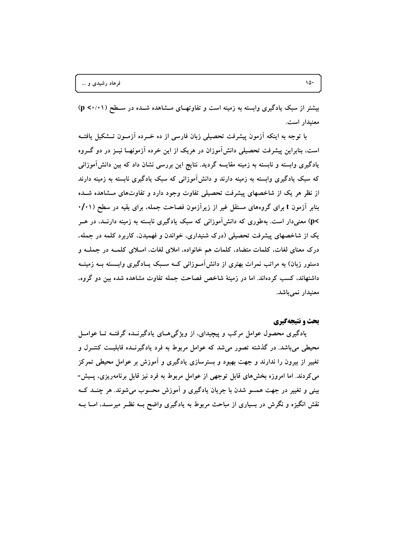بیشتر از سبک یادگیری وابسته به زمینه است و تفاوتهای مشاهده شـده در سـطح (۱۰/۰۱) p) معنيدار است.

با توجه به اینکه آزمون پیشرفت تحصیلی زبان فارسی از ده خـرده آزمــون تــشکیل یافتــه است، بنابراین پیشرفت تحصیلی دانشآموزان در هریک از این خرده آزمونهــا نیــز در دو گــروه یادگیری وابسته و نابسته به زمینه مقایسه گردید. نتایج این بررسی نشان داد که بین دانش آموزانی که سبک یادگیری وابسته به زمینه دارند و دانش آموزانی که سبک یادگیری نابسته به زمینه دارند از نظر هر یک از شاخصهای پیشرفت تحصیلی تفاوت وجود دارد و تفاوتهای مــشاهده شــده بنابر آزمون t برای گروههای مستقل غیر از زیرآزمون فصاحت جمله، برای بقیه در سطح (۰/۰۱ p<) معنیدار است. بهطوری که دانشآموزانی که سبک یادگیری نابسته به زمینه دارنــد، در هــر یک از شاخصهای پیشرفت تحصیلی (درک شنیداری، خواندن و فهمیدن، کاربرد کلمه در جمله، درک معنای لغات، کلمات متضاد، کلمات هم خانواده، املای لغات، امــلای کلمــه در جملــه و دستور زبان) به مراتب نمرات بهتری از دانش آمــوزانی کــه ســبک پــادگیری وابـــسته بــه زمینــه داشتهاند، کسب کردهاند. اما در زمینهٔ شاخص فصاحت جمله تفاوت مشاهده شده بین دو گروه، معنیدار نمی باشد.

## بحث و نتیجهگیری

یادگیری محصول عوامل مرکب و پیچیدای، از ویژگی هـای یادگیرنــده گرفتــه تــا عوامــل محیطی میباشد. در گذشته تصور میشد که عوامل مربوط به فرد یادگیرنـده قابلیــت کنتــرل و تغییر از بیرون را ندارند و جهت بهبود و بسترسازی یادگیری و آموزش بر عوامل محیطی تمرکز می کردند. اما امروزه بخشهای قابل توجهی از عوامل مربوط به فرد نیز قابل برنامهریزی، پسیش-بینی و تغییر در جهت همسو شدن با جریان یادگیری و آموزش محسوب می شوند. هر چنــد کــه نقش انگیزه و نگرش در بسیاری از مباحث مربوط به یادگیری واضح بــه نظــر میرســد، امــا بــه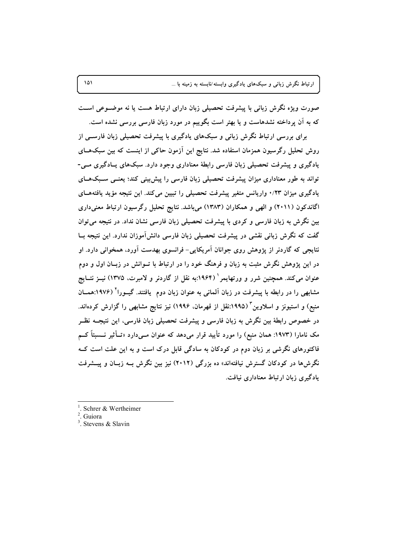صورت ویژه نگرش زبانی با پیشرفت تحصیلی زبان دارای ارتباط هست یا نه موضــوعی اســت که به آن پرداخته نشدهاست و یا بهتر است بگوییم در مورد زبان فارسی بررسی نشده است.

برای بررسی ارتباط نگرش زبانی و سبکهای یادگیری با پیشرفت تحصیلی زبان فارســی از روش تحلیل رگرسیون همزمان استفاده شد. نتایج این آزمون حاکی از اینست که بین سبکهـای یادگیری و پیشرفت تحصیلی زبان فارسی رابطهٔ معناداری وجود دارد. سبکهای پــادگیری مــی-تواند به طور معناداری میزان پیشرفت تحصیلی زبان فارسی را پیش بینی کند؛ یعنسی سـبکهــای یادگیری میزان ۰/۲۳ واریانس متغیر پیشرفت تحصیلی را تبیین می کند. این نتیجه مؤید یافتههـای اگاندکون (۲۰۱۱) و الهی و همکاران (۱۳۸۳) میباشد. نتایج تحلیل رگرسیون ارتباط معنیداری بین نگرش به زبان فارسی و کردی با پیشرفت تحصیلی زبان فارسی نشان نداد. در نتیجه می توان گفت که نگرش زبانی نقشی در پیشرفت تحصیلی زبان فارسی دانشآموزان ندارد. این نتیجه بــا نتایجی که گاردنر از پژوهش روی جوانان آمریکایی- فرانسوی بهدست آورد، همخوانی دارد. او در این پژوهش نگرش مثبت به زبان و فرهنگ خود را در ارتباط با تــوانش در زبــان اول و دوم عنوان میکند. همچنین شرر و ورتهایمر` (۱۹۶۴:به نقل از گاردنر و لامبرت، ۱۳۷۵) نیــز نتــایج مشابهی را در رابطه با پیشرفت در زبان آلمانی به عنوان زبان دوم یافتند. گیــورا<sup>۲</sup> (۱۹۷۶:همــان منبع) و استیونز و اسلاوین "(۱۹۹۵:نقل از قهرمان، ۱۹۹۶) نیز نتایج مشابهی را گزارش کردهاند. در خصوص رابطهٔ بین نگرش به زبان فارسی و پیشرفت تحصیلی زبان فارسی، این نتیجــه نظــر مک نامارا (۱۹۷۳: همان منبع) را مورد تأیید قرار میدهد که عنوان مــیدارد «تــأثیر نــسبتاً کــم فاکتورهای نگرشی بر زبان دوم در کودکان به سادگی قابل درک است و به این علت است ک نگرش ها در کودکان گسترش نیافتهاند» ده بزرگی (۲۰۱۲) نیز بین نگرش بــه زبــان و پیــشرفت یادگیری زبان ارتباط معناداری نیافت.

- Schrer & Wertheimer
- Guiora

<sup>&</sup>lt;sup>3</sup>. Stevens & Slavin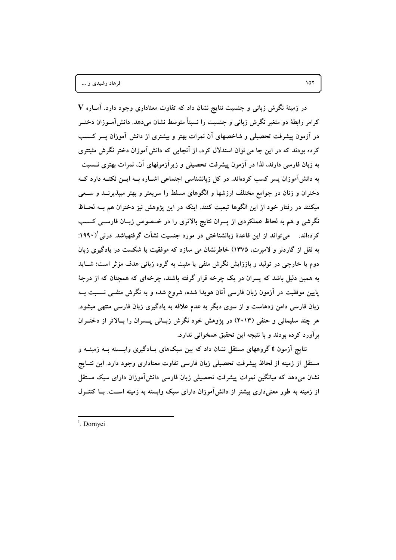$\bf{V}$  در زمینهٔ نگرش زبانی و جنسیت نتایج نشان داد که تفاوت معناداری وجود دارد. آمــاره کرامر رابطهٔ دو متغیر نگرش زبانی و جنسیت را نسبتاً متوسط نشان میدهد. دانشآمــوزان دختــر در آزمون پیشرفت تحصیلی و شاخصهای آن نمرات بهتر و بیشتری از دانش آموزان پسر کــسب کرده بودند که در این جا می توان استدلال کرد، از آنجایی که دانش آموزان دختر نگرش مثبتتری به زبان فارسی دارند، لذا در آزمون پیشرفت تحصیلی و زیرآزمونهای آن، نمرات بهتری نــــــبت به دانش آموزان پسر کسب کردهاند. در کل زبانشناسی اجتماعی اشــاره بــه ایــن نکتــه دارد کــه دختران و زنان در جوامع مختلف ارزشها و الگوهای مسلط را سریعتر و بهتر میپذیرنــد و ســعی میکنند در رفتار خود از این الگوها تبعیت کنند. اینکه در این پژوهش نیز دختران هم بــه لحــاظ نگرشی و هم به لحاظ عملکردی از پسران نتایج بالاتری را در خــصوص زبــان فارســی کــسب کردهاند، می تواند از این قاعدهٔ زبانشناختی در مورد جنسیت نشأت گرفتهباشد. درنی (۱۹۹۰: به نقل از گاردنر و لامبرت، ۱۳۷۵) خاطرنشان می سازد که موفقیت یا شکست در یادگیری زبان دوم یا خارجی در تولید و باززایش نگرش منفی یا مثبت به گروه زبانی هدف مؤثر است؛ شــاید به همین دلیل باشد که پسران در یک چرخه قرار گرفته باشند، چرخهای که همچنان که از درجهٔ پایین موفقیت در آزمون زبان فارسی آنان هویدا شده، شروع شده و به نگرش منفـّـی نــسبت بــه زبان فارسی دامن زدهاست و از سوی دیگر به عدم علاقه به یادگیری زبان فارسی منتهی میشود. هر چند سلیمانی و حنفی (۲۰۱۳) در پژوهش خود نگرش زبـانی پــسران را بـالاتر از دختــران برآورد کرده بودند و با نتیجه این تحقیق همخوانی ندارد.

نتایج آزمون t گروههای مستقل نشان داد که بین سبکهای پـادگیری وابــسته بــه زمینــه و مستقل از زمینه از لحاظ پیشرفت تحصیلی زبان فارسی تفاوت معناداری وجود دارد. این نتــایج نشان میدهد که میانگین نمرات پیشرفت تحصیلی زبان فارسی دانش آموزان دارای سبک مستقل از زمینه به طور معنیداری بیشتر از دانش آموزان دارای سبک وابسته به زمینه اسـت. بــا کنتــرل

 $<sup>1</sup>$ . Dornvei</sup>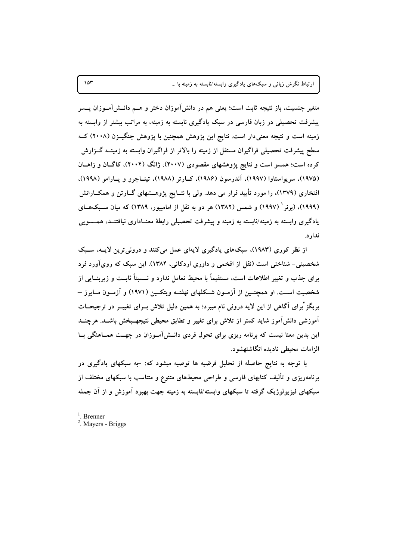متغیر جنسیت، باز نتیجه ثابت است؛ یعنی هم در دانش[موزان دختر و هــم دانــش[مــوزان پـــسر پیشرفت تحصیلی در زبان فارسی در سبک یادگیری نابسته به زمینه، به مراتب بیشتر از وابسته به زمینه است و نتیجه معنیدار است. نتایج این پژوهش همچنین با پژوهش جنگیــزن (۲۰۰۸) کــه سطح پیشرفت تحصیلی فراگیران مستقل از زمینه را بالاتر از فراگیران وابسته به زمینــه گــزارش کرده است؛ همسو است و نتایج پژوهشهای مقصودی (۲۰۰۷)، ژانگ (۲۰۰۴)، کاگــان و زاهــان (١٩٧۵)، سریواستاوا (١٩٩٧)، آندرسون (١٩٨۶)، کبارتر (١٩٨٨)، تینساجرو و پسارامو (١٩٩٨)، افتخاری (۱۳۷۹)، را مورد تأیید قرار می دهد. ولی با نتــایج پژوهــشهای گــارتن و همکــارانش (١٩٩٩)، (برنر ( ١٩٩٧) و شمس (١٣٨٢) هر دو به نقل از اماميبور، ١٣٨٩) كه ميان ســـكهـاي یادگیری وابسته به زمینه/نابسته به زمینه و پیشرفت تحصیلی رابطهٔ معنـاداری نیافتنـد، همــسویی ندار د.

از نظر کوری (۱۹۸۳)، سبکهای یادگیری لایهای عمل میکنند و درونیترین لایسه، سـبک شخصیتی- شناختی است (نقل از افخمی و داوری اردکانی، ۱۳۸۴). این سبک که رویآورد فرد برای جذب و تغییر اطلاعات است، مستقیماً با محیط تعامل ندارد و نــسبتاً ثابــت و زیربنــایی از شخصیت اســت. او همچنــین از آزمــون شــکلهای نهفتــه ویتکــین (۱۹۷۱) و آزمــون مــایرز – بریگز<sup>۲</sup>برای آگاهی از این لایه درونی نام میبرد؛ به همین دلیل تلاش بــرای تغییــر در ترجیحــات آموزشی دانش آموز شاید کمتر از تلاش برای تغییر و تطابق محیطی نتیجهـبخش باشــد. هرچنــد این بدین معنا نیست که برنامه ریزی برای تحول فردی دانــشآمــوزان در جهــت همــاهنگی بــا الزامات محبطي ناديده انگاشتهشود.

با توجه به نتایج حاصله از تحلیل فرضیه ها توصیه میشود که: -به سبکهای یادگیری در برنامهریزی و تألیف کتابهای فارسی و طراحی محیطهای متنوع و متناسب با سبکهای مختلف از سبکهای فیزیولوژیک گرفته تا سبکهای وابسته/نابسته به زمینه جهت بهبود آموزش و از آن جمله

Brenner

 $10<sup>4</sup>$ 

<sup>&</sup>lt;sup>2</sup>. Mayers - Briggs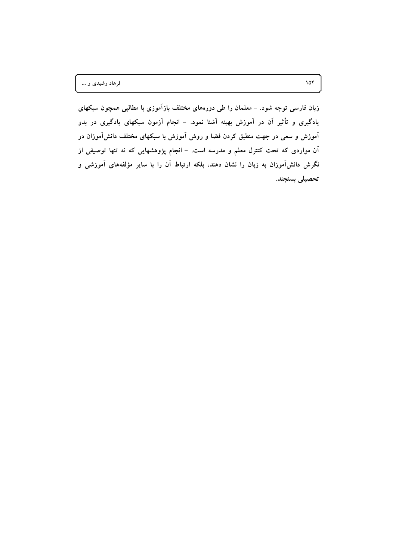زبان فارسی توجه شود. – معلمان را طی دورههای مختلف بازآموزی با مطالبی همچون سبکهای یادگیری و تأثیر آن در آموزش بهینه آشنا نمود. – انجام آزمون سبکهای یادگیری در بدو آموزش و سعی در جهت منطبق کردن فضا و روش آموزش با سبکهای مختلف دانش[موزان در آن مواردی که تحت کنترل معلم و مدرسه است. - انجام پژوهشهایی که نه تنها توصیفی از نگرش دانشآموزان به زبان را نشان دهند، بلکه ارتباط آن را با سایر مؤلفههای آموزشی و تحصيلى بسنجند.

 $10f$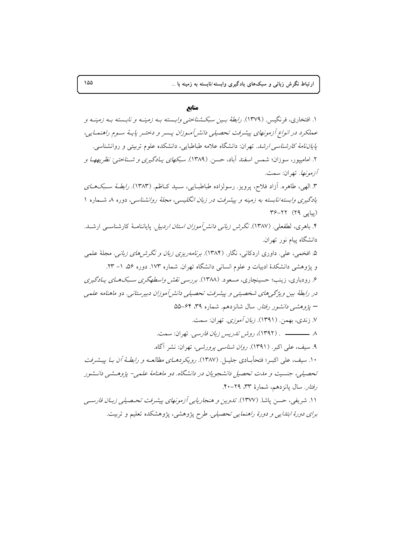مناىع

۱. افتخاری، فرنگیس. (۱۳۷۹). *رابطهٔ بسین سبکشناختی وابسته بـه زمینـه و نابـسته بـه زمینـه و* عملکرد در انواع آزمونهای پیشرفت تحصیلی دانش آمـوزان پـسر و دختـر پایـهٔ سـوم راهنمـایی، *پایاننامهٔ کارشناسی ارشد.* تهران: دانشگاه علامه طباطبایی، دانشکده علوم تربیتی و روانشناسی. ۲. امامپیور، سوزان؛ شمس اسفند آباد، حسن. (۱۳۸۹). *سبکهای پیادگیری و شــناختی: نظریههـا و آزمونها.* تهران: سمت. ٣. الهي، طاهره. أزاد فلاح، يرويز. رسولزاده طباطبـايي، سـيد كـاظم. (١٣٨٣). *رابطـهُ سـبكهـاي یادگیری وابسته/نابسته به زمینه و پیشرفت در زبان انگلیسی، مجلهٔ روانشناسی، دو*ره ۸، شـماره ۱ (پیایی ۲۹) ۲۲–۳۶ ۴. باهری، لطفعلی. (۱۳۸۷). *نگرش زبانی دانش آموزان استان اردبیل*. پایاننامـهٔ کارشناسـی ارشــد. دانشگاه پيام نور تهران. ۵. افخمی، علی. داوری اردکانی، نگار. (۱۳۸۴). *برنامهریزی زبان و نگرش های زبانی.* مجلهٔ علمی و یژوهشی دانشکدهٔ ادبیات و علوم انسانی دانشگاه تهران شماره ۱۷۳. دوره ۵۶، ۱– ۲۳. ۶. رودباری، زینب؛ حسینچاری، مسعود. (۱۳۸۸). برر*سی نقش واسطهگری سبکهـای پـادگیری* در رابطهٔ بین ویژگیهای شخصیتی و پیشرفت تحصیلی دانشرآموزان دبیرستانی. دو ماهنامه علمی - ي*ژوهشي دانشور رفتار.* سال شانزدهم. شماره ۳۹، ۶۴-۵۵ ۷. زندی، بهمن. (۱۳۹۱). *زبان آموزی*. تهران: سمت. ۹. سيف، علي اكبر . (١٣٩١). روان شناسبي يرورشبي، تهران: نشر آگاه. ۱۰. سیف، علی اکبه؛ فتحاّبادی جلیـل. (۱۳۸۷). رویکردهـای مطالعـه و رابطـهُ آن بـا پیـشرفت تحصیلی، جنسیت و مدت تحصیل دانشجویان در دانشگاه. دو ماهنامهٔ علمی- پژوهـشی دانـشور *رفتار.* سال پانزدهم، شمارهٔ ۳۳، ۲۹–۴۰. ۱۱. شریفی، حسن پاشا. (۱۳۷۷). *تدوین و هنجاریابی آزمونهای پیشرفت تح*صی*لی زبیان فارس*ے برای دورهٔ ابتدای<sub>هی</sub> و دورهٔ راهنمایی تحصیلی. طرح یژوهشی، یژوهشکده تعلیم و تربیت.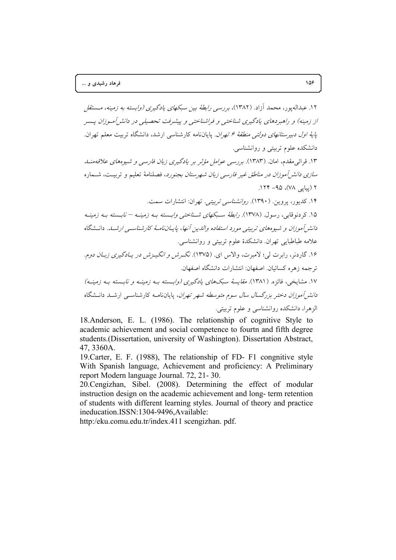۱۲. عبدالهپور، محمد آزاد. (۱۳۸۲)، *بررسی رابطهٔ بین سبکهای یادگیری (وابسته به زمینه، مـستقل* از زمینه) و راهبردهای یادگیری شناختی و فراشناختی و پیشرفت تحصیلی در دانش آموزان پسر *پایهٔ اول دبیرستانهای دولتی منطقهٔ ۶ تهران*. پایاننامه کارشناسی ارشد، دانشگاه تربیت معلم تهران. دانشکده علوم تربیتی و روانشناسی. ۱۳. قرائی۵قدم، امان. (۱۳۸۳). برر*سی عوامل مؤثر بر یادگیری زبان فارسی و شیوههای علاقهمن*ــ*د سازی دانش[موزان در مناطق غیر فارسی زبان شهرستان بجنورد*، فصلنامهٔ تعلیم و تربیـت، شــماره ۲ (پیاپ*ی ۷*۸)، ۹۵– ۱۲۴. ۱۴. کدیور، پروین. (۱۳۹۰). *روانشناسی تربیتی*. تهران: انتشارات سمت. ۱۵. کردنوقابی، رسول. (۱۳۷۸). *رابطهٔ سـبکهای شـناختی وابـسته بـه زمینــه – نابـسته بــه زمینــه* دانشر آموزان و شیوههای تربیتی مورد استفاده والدین آنها، پایـاننامـهٔ کارشناسـی ارشــد. دانـشگاه علامه طباطبایی تهران. دانشکدهٔ علوم تربیتی و روانشناسی. ۱۶. گاردنر، رابرت لي؛ لامبرت، والاس اي. (۱۳۷۵). *نگرش و انگيــزش در يــادگيري زبــان دو*م. ترجمه زهره كسائيان. اصفهان: انتشارات دانشگاه اصفهان.

۱۷. مشایخی، فائزه. (۱۳۸۱). *مقایسهٔ سبکهای یادگیری (وابسته بـه زمینـه و نابـسته بـه زمینـه)* د*انش آموزان دختر بزرگسال سال سوم متوسطه شهر تهران*، پایاننامـه کارشناســی ارشــد دانــشگاه الزهرا، دانشکده روانشناسی و علوم تربیتی.

18.Anderson, E. L. (1986). The relationship of cognitive Style to academic achievement and social competence to fourtn and fifth degree students.(Dissertation, university of Washington). Dissertation Abstract, 47, 3360A.

19.Carter, E. F. (1988), The relationship of FD- F1 congnitive style With Spanish language, Achievement and proficiency: A Preliminary report Modern language Journal. 72, 21- 30.

20.Cengizhan, Sibel. (2008). Determining the effect of modular instruction design on the academic achievement and long- term retention of students with different learning styles. Journal of theory and practice ineducation.ISSN:1304-9496,Available:

http:/eku.comu.edu.tr/index.411 scengizhan. pdf.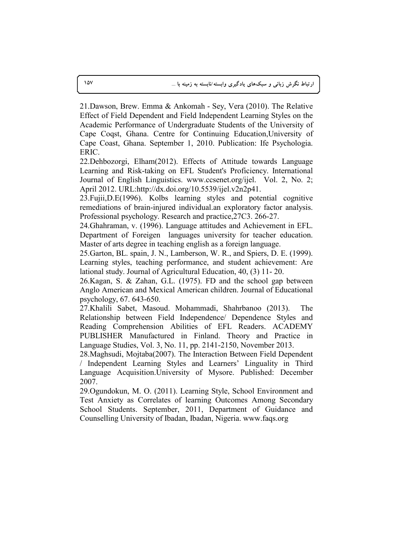21. Dawson, Brew. Emma & Ankomah - Sey, Vera (2010). The Relative Effect of Field Dependent and Field Independent Learning Styles on the Academic Performance of Undergraduate Students of the University of Cape Coqst, Ghana. Centre for Continuing Education, University of Cape Coast, Ghana. September 1, 2010. Publication: Ife Psychologia. ERIC.

22. Dehbozorgi, Elham (2012). Effects of Attitude towards Language Learning and Risk-taking on EFL Student's Proficiency. International Journal of English Linguistics. www.ccsenet.org/ijel. Vol. 2, No. 2; April 2012. URL:http://dx.doi.org/10.5539/ijel.v2n2p41.

23. Fujii, D. E(1996). Kolbs learning styles and potential cognitive remediations of brain-injured individual an exploratory factor analysis. Professional psychology. Research and practice, 27C3. 266-27.

24. Ghahraman, v. (1996). Language attitudes and Achievement in EFL. Department of Foreigen languages university for teacher education. Master of arts degree in teaching english as a foreign language.

25. Garton, BL. spain, J. N., Lamberson, W. R., and Spiers, D. E. (1999). Learning styles, teaching performance, and student achievement: Are lational study. Journal of Agricultural Education, 40, (3) 11-20.

26. Kagan, S. & Zahan, G.L. (1975). FD and the school gap between Anglo American and Mexical American children. Journal of Educational psychology, 67.643-650.

27. Khalili Sabet, Masoud. Mohammadi, Shahrbanoo (2013). The Relationship between Field Independence/ Dependence Styles and Reading Comprehension Abilities of EFL Readers. ACADEMY PUBLISHER Manufactured in Finland. Theory and Practice in Language Studies, Vol. 3, No. 11, pp. 2141-2150, November 2013.

28. Maghsudi, Moitaba (2007). The Interaction Between Field Dependent / Independent Learning Styles and Learners' Linguality in Third Language Acquisition. University of Mysore. Published: December 2007.

29. Ogundokun, M. O. (2011). Learning Style, School Environment and Test Anxiety as Correlates of learning Outcomes Among Secondary School Students. September, 2011, Department of Guidance and Counselling University of Ibadan, Ibadan, Nigeria, www.faqs.org

 $\sqrt{2V}$